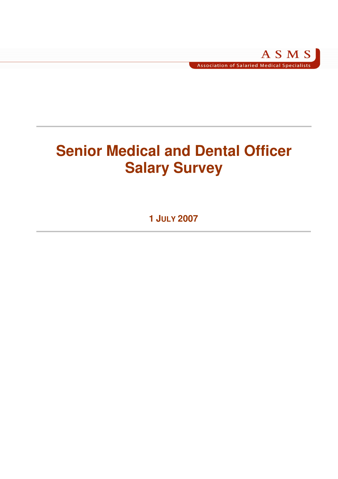# **Senior Medical and Dental Officer Salary Survey**

**1 JULY 2007**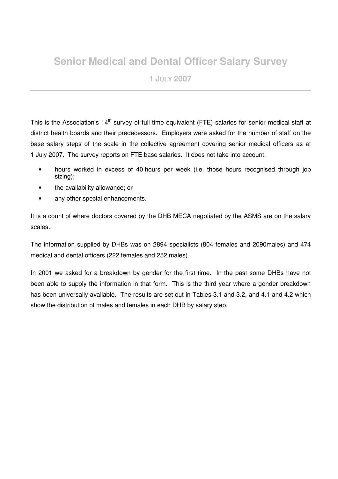# **Senior Medical and Dental Officer Salary Survey**

**1 JULY 2007** 

This is the Association's 14<sup>th</sup> survey of full time equivalent (FTE) salaries for senior medical staff at district health boards and their predecessors. Employers were asked for the number of staff on the base salary steps of the scale in the collective agreement covering senior medical officers as at 1 July 2007. The survey reports on FTE base salaries. It does not take into account:

- hours worked in excess of 40 hours per week (i.e. those hours recognised through job sizing);
- the availability allowance; or
- any other special enhancements.

It is a count of where doctors covered by the DHB MECA negotiated by the ASMS are on the salary scales.

The information supplied by DHBs was on 2894 specialists (804 females and 2090males) and 474 medical and dental officers (222 females and 252 males).

In 2001 we asked for a breakdown by gender for the first time. In the past some DHBs have not been able to supply the information in that form. This is the third year where a gender breakdown has been universally available. The results are set out in Tables 3.1 and 3.2, and 4.1 and 4.2 which show the distribution of males and females in each DHB by salary step.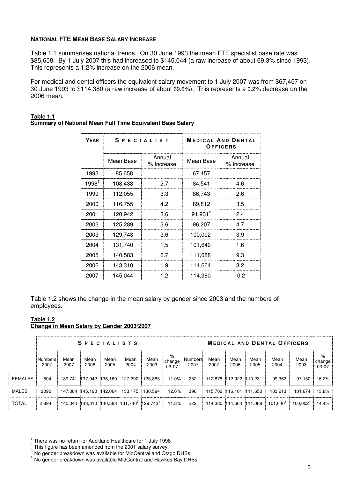# **NATIONAL FTE MEAN BASE SALARY INCREASE**

Table 1.1 summarises national trends. On 30 June 1993 the mean FTE specialist base rate was \$85,658. By 1 July 2007 this had increased to \$145,044 (a raw increase of about 69.3% since 1993). This represents a 1.2% increase on the 2006 mean.

For medical and dental officers the equivalent salary movement to 1 July 2007 was from \$67,457 on 30 June 1993 to \$114,380 (a raw increase of about 69.6%). This represents a 0.2% decrease on the 2006 mean.

| <b>YEAR</b>       |           | <b>SPECIALIST</b>    | <b>MEDICAL AND DENTAL</b><br>OFFICERS |                      |  |  |  |  |
|-------------------|-----------|----------------------|---------------------------------------|----------------------|--|--|--|--|
|                   | Mean Base | Annual<br>% Increase | Mean Base                             | Annual<br>% Increase |  |  |  |  |
| 1993              | 85,658    |                      | 67,457                                |                      |  |  |  |  |
| 1998 <sup>1</sup> | 108,438   | 27                   | 84,541                                | 4.6                  |  |  |  |  |
| 1999              | 112,055   | 3.3                  | 86,743                                | 2.6                  |  |  |  |  |
| 2000              | 116,755   | 4.2                  | 89,812                                | 3.5                  |  |  |  |  |
| 2001              | 120,942   | 3.6                  | $91,931^2$                            | 2.4                  |  |  |  |  |
| 2002              | 125,289   | 3.6                  | 96,207                                | 4.7                  |  |  |  |  |
| 2003              | 129,743   | 3.6                  | 100.002                               | 3.9                  |  |  |  |  |
| 2004              | 131,740   | 1.5                  | 101,640                               | 1.6                  |  |  |  |  |
| 2005              | 140.583   | 6.7                  | 111,088                               | 9.3                  |  |  |  |  |
| 2006              | 143,310   | 1.9                  | 114,664                               | 3.2                  |  |  |  |  |
| 2007              | 145,044   | 1.2                  | 114,380                               | $-0.2$               |  |  |  |  |

#### **Table 1.1 Summary of National Mean Full Time Equivalent Base Salary**

Table 1.2 shows the change in the mean salary by gender since 2003 and the numbers of employees.

#### **Table 1.2 Change in Mean Salary by Gender 2003/2007**

|                | <b>SPECIALISTS</b>     |              |              |              |                                                                   |              |                        | <b>MEDICAL AND DENTAL OFFICERS</b> |                         |              |              |                      |                      |                      |  |
|----------------|------------------------|--------------|--------------|--------------|-------------------------------------------------------------------|--------------|------------------------|------------------------------------|-------------------------|--------------|--------------|----------------------|----------------------|----------------------|--|
|                | <b>Numbers</b><br>2007 | Mean<br>2007 | Mean<br>2006 | Mean<br>2005 | Mean<br>2004                                                      | Mean<br>2003 | %<br>change<br>$03-07$ | Numbers:<br>2007                   | Mean<br>2007            | Mean<br>2006 | Mean<br>2005 | Mean<br>2004         | Mean<br>2003         | %<br>change<br>03-07 |  |
| <b>FEMALES</b> | 804                    |              |              |              | 139,741 137,942 136,160 127,290 125,885                           |              | 11.0%                  | 252                                | 112,878 112,922 110,231 |              |              | 99.362               | 97.150               | 16.2%                |  |
| MALES          | 2090                   |              |              |              | 147,084 145,190 142,064 133,175 130,594                           |              | 12.6%                  | 396                                | 115,702 116,101 111,650 |              |              | 103.213              | 101.674              | 13.8%                |  |
| <b>TOTAL</b>   | 2.894                  |              |              |              | 145,044 143,310 140,583 131,740 <sup>3</sup> 129,743 <sup>4</sup> |              | 11.8%                  | 222                                | 114,380 114,664 111,088 |              |              | 101.640 <sup>3</sup> | 100.002 <sup>4</sup> | 14.4%                |  |

<sup>1</sup> There was no return for Auckland Healthcare for 1 July 1998

 $2<sup>2</sup>$  This figure has been amended from the 2001 salary survey.

 $3$  No gender breakdown was available for MidCentral and Otago DHBs.

<sup>&</sup>lt;sup>4</sup> No gender breakdown was available MidCentral and Hawkes Bay DHBs.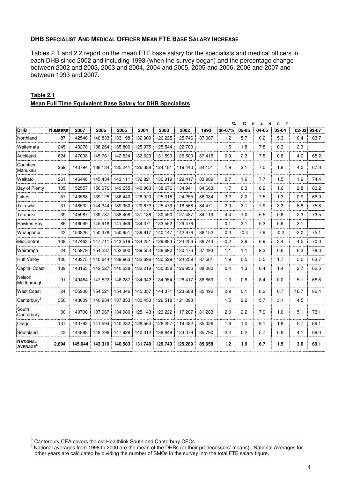#### **DHB SPECIALIST AND MEDICAL OFFICER MEAN FTE BASE SALARY INCREASE**

Tables 2.1 and 2.2 report on the mean FTE base salary for the specialists and medical officers in each DHB since 2002 and including 1993 (when the survey began) and the percentage change between 2002 and 2003, 2003 and 2004, 2004 and 2005, 2005 and 2006, 2006 and 2007 and between 1993 and 2007.

|                                         |                |         |         |         |         |         | %<br>c<br>н<br>N<br>G<br>Е<br>А |        |        |        |       |        |           |       |  |
|-----------------------------------------|----------------|---------|---------|---------|---------|---------|---------------------------------|--------|--------|--------|-------|--------|-----------|-------|--|
| <b>DHB</b>                              | <b>NUMBERS</b> | 2007    | 2006    | 2005    | 2004    | 2003    | 2002                            | 1993   | 06-07% | 05-06  | 04-05 | 03-04  | $02 - 03$ | 93-07 |  |
| Northland                               | 87             | 142546  | 140,833 | 133,198 | 132,909 | 126,225 | 125,746                         | 87,087 | 1.2    | 5.7    | 0.2   | 5.3    | 0.4       | 63.7  |  |
| Waitemata                               | 245            | 140278  | 138,264 | 135.809 | 125,975 | 125.544 | 122,700                         |        | 1.5    | 1.8    | 7.8   | 0.3    | 2.3       |       |  |
| Auckland                                | 624            | 147008  | 145,761 | 142,524 | 132,623 | 131,593 | 126,500                         | 87,415 | 0.9    | 2.3    | 7.5   | 0.8    | 4.0       | 68.2  |  |
| Counties<br>Manukau                     | 269            | 140794  | 138,134 | 135,241 | 126,388 |         | 124,181 119,440                 | 84,151 | 1.9    | 2.1    | 7.0   | 1.8    | 4.0       | 67.3  |  |
| Waikato                                 | 261            | 146448  | 145,434 | 143.111 | 132,821 | 130,919 | 129,417                         | 83,989 | 0.7    | 1.6    | 7.7   | 1.5    | 1.2       | 74.4  |  |
| Bay of Plenty                           | 105            | 152557  | 150,076 | 149.655 | 140,963 | 138,676 | 134,941                         | 84,663 | 1.7    | 0.3    | 6.2   | 1.6    | 2.8       | 80.2  |  |
| Lakes                                   | 57             | 143588  | 139,125 | 136,440 | 126,920 | 125,318 | 124,255                         | 86,034 | 3.2    | 2.0    | 7.5   | 1.3    | 0.9       | 66.9  |  |
| Tairawhiti                              | 31             | 148532  | 144.344 | 139.950 | 129,672 | 125,479 | 118,568                         | 84,471 | 2.9    | 3.1    | 7.9   | 3.3    | 5.8       | 75.8  |  |
| Taranaki                                | 39             | 145987  | 139,787 | 138,408 | 131,186 | 130,450 | 127,487                         | 84,119 | 4.4    | 1.0    | 5.5   | 0.6    | 2.3       | 73.5  |  |
| Hawkes Bay                              | 86             | 146099  | 145,918 | 141,469 | 134,371 | 133,552 | 129,476                         |        | 0.1    | 3.1    | 5.3   | 0.6    | 3.1       |       |  |
| Whanganui                               | 43             | 150826  | 150,378 | 150,951 | 139,917 | 140,147 | 142,976                         | 86,152 | 0.3    | $-0.4$ | 7.9   | $-0.2$ | $-2.0$    | 75.1  |  |
| MidCentral                              | 109            | 147463  | 147,711 | 143,519 | 134,251 | 129.883 | 124,256                         | 86.744 | $-0.2$ | 2.9    | 6.9   | 3.4    | 4.5       | 70.0  |  |
| Wairarapa                               | 24             | 155979  | 154,237 | 152,600 | 139,553 | 138,690 | 130,476                         | 87,493 | 1.1    | 1.1    | 9.3   | 0.6    | 6.3       | 78.3  |  |
| <b>Hutt Valley</b>                      | 100            | 143375  | 140,644 | 139,963 | 132,696 | 130.529 | 124,259                         | 87,561 | 1.9    | 0.5    | 5.5   | 1.7    | 5.0       | 63.7  |  |
| Capital Coast                           | 139            | 143165  | 142,527 | 140.638 | 132,219 | 130.338 | 126,956                         | 88,080 | 0.4    | 1.3    | 6.4   | 1.4    | 2.7       | 62.5  |  |
| Nelson<br>Marlborough                   | 91             | 149484  | 147,522 | 146,287 | 134,942 | 134,954 | 128,417                         | 88.669 | 1.3    | 0.8    | 8.4   | 0.0    | 5.1       | 68.6  |  |
| <b>West Coast</b>                       | 24             | 155938  | 154,521 | 154,346 | 145,357 | 144,371 | 123,688                         | 85,492 | 0.9    | 0.1    | 6.2   | 0.7    | 16.7      | 82.4  |  |
| Canterbury <sup>5</sup>                 | 350            | 143009  | 140,934 | 137,853 | 130,453 | 126,518 | 121,093                         |        | 1.5    | 2.2    | 5.7   | 3.1    | 4.5       |       |  |
| South<br>Canterbury                     | 30             | 140700  | 137.967 | 134.980 | 125,143 | 123,222 | 117,207                         | 81.283 | 2.0    | 2.2    | 7.9   | 1.6    | 5.1       | 73.1  |  |
| Otago                                   | 137            | 143792  | 141,594 | 140,232 | 128,564 | 126,257 | 119,482                         | 85,026 | 1.6    | 1.0    | 9.1   | 1.8    | 5.7       | 69.1  |  |
| Southland                               | 43             | 144988  | 148,296 | 147,929 | 140,012 | 138,849 | 133,379                         | 85,790 | $-2.2$ | 0.2    | 5.7   | 0.8    | 4.1       | 69.0  |  |
| <b>NATIONAL</b><br>AVERAGE <sup>6</sup> | 2,894          | 145,044 | 143,310 | 140,583 | 131,740 | 129,743 | 125,289                         | 85,658 | $1.2$  | 1.9    | 6.7   | 1.5    | 3.6       | 69.1  |  |

# **Table 2.1 Mean Full Time Equivalent Base Salary for DHB Specialists**

<sup>5</sup> Canterbury CEA covers the old Healthlink South and Canterbury CECs

<sup>6</sup> National averages from 1998 to 2000 are the mean of the DHBs (or their predecessors' means). National Averages for other years are calculated by dividing the number of SMOs in the survey into the total FTE salary figure.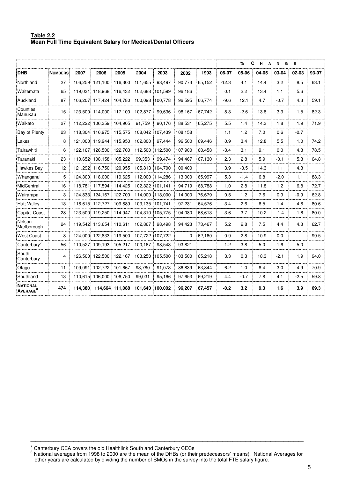#### **Table 2.2 Mean Full Time Equivalent Salary for Medical/Dental Officers**

|                                                |                |         |                 |                 |         |         |          |        | C<br>%<br>н<br>Е<br>N<br>G<br>A |        |       |        |        |       |
|------------------------------------------------|----------------|---------|-----------------|-----------------|---------|---------|----------|--------|---------------------------------|--------|-------|--------|--------|-------|
| DHB                                            | <b>NUMBERS</b> | 2007    | 2006            | 2005            | 2004    | 2003    | 2002     | 1993   | 06-07                           | 05-06  | 04-05 | 03-04  | 02-03  | 93-07 |
| Northland                                      | 27             | 106,259 | 121.100         | 116.300         | 101.655 | 98.497  | 90,773   | 65,152 | $-12.3$                         | 4.1    | 14.4  | 3.2    | 8.5    | 63.1  |
| Waitemata                                      | 65             | 119,031 | 118,968         | 116,432         | 102,688 | 101,599 | 96,186   |        | 0.1                             | 2.2    | 13.4  | 1.1    | 5.6    |       |
| Auckland                                       | 87             |         | 106,207 117,424 | 104,780         | 100,098 | 100,778 | 96,595   | 66,774 | $-9.6$                          | 12.1   | 4.7   | $-0.7$ | 4.3    | 59.1  |
| Counties<br>Manukau                            | 15             | 123,500 | 114.000         | 117.100         | 102,877 | 99.636  | 98,167   | 67,742 | 8.3                             | $-2.6$ | 13.8  | 3.3    | 1.5    | 82.3  |
| Waikato                                        | 27             | 112.222 | 106,359         | 104,905         | 91,759  | 90,176  | 88,531   | 65.275 | 5.5                             | 1.4    | 14.3  | 1.8    | 1.9    | 71.9  |
| Bay of Plenty                                  | 23             | 118.304 | 116.975         | 115,575         | 108,042 | 107.439 | 108,158  |        | 1.1                             | 1.2    | 7.0   | 0.6    | $-0.7$ |       |
| Lakes                                          | 8              |         | 121.000 119.944 | 115.950         | 102,800 | 97.444  | 96,500   | 69.446 | 0.9                             | 3.4    | 12.8  | 5.5    | 1.0    | 74.2  |
| Tairawhiti                                     | 6              | 122.167 | 126,500         | 122.700         | 112,500 | 112.500 | 107,900  | 68.458 | $-3.4$                          | 3.1    | 9.1   | 0.0    | 4.3    | 78.5  |
| Taranaki                                       | 23             | 110.652 | 108.158         | 105.222         | 99,353  | 99.474  | 94.467   | 67,130 | 2.3                             | 2.8    | 5.9   | $-0.1$ | 5.3    | 64.8  |
| Hawkes Bay                                     | 12             | 121,292 | 116,750         | 120,955         | 105,813 | 104,700 | 100,400  |        | 3.9                             | $-3.5$ | 14.3  | 1.1    | 4.3    |       |
| Whanganui                                      | 5              | 124,300 | 118,000         | 119,625         | 112,000 | 114,286 | 113,000  | 65,997 | 5.3                             | $-1.4$ | 6.8   | $-2.0$ | 1.1    | 88.3  |
| MidCentral                                     | 16             | 118,781 | 117,594         | 114,425         | 102,322 | 101,141 | 94,719   | 68,788 | 1.0                             | 2.8    | 11.8  | 1.2    | 6.8    | 72.7  |
| Wairarapa                                      | 3              | 124,833 | 124,167         | 122,700         | 114,000 | 113,000 | 114,000  | 76,679 | 0.5                             | 1.2    | 7.6   | 0.9    | $-0.9$ | 62.8  |
| <b>Hutt Valley</b>                             | 13             | 116,615 | 112,727         | 109,889         | 103,135 | 101,741 | 97,231   | 64,576 | 3.4                             | 2.6    | 6.5   | 1.4    | 4.6    | 80.6  |
| <b>Capital Coast</b>                           | 28             | 123,500 | 119,250         | 114,947         | 104,310 | 105,775 | 104,080  | 68,613 | 3.6                             | 3.7    | 10.2  | $-1.4$ | 1.6    | 80.0  |
| Nelson<br>Marlborough                          | 24             |         | 119,542 113,654 | 110,611<br>÷    | 102,867 | 98,498  | 94,423   | 73,467 | 5.2                             | 2.8    | 7.5   | 4.4    | 4.3    | 62.7  |
| <b>West Coast</b>                              | 8              |         | 124.000 122.833 | 119.500         | 107,722 | 107,722 | $\Omega$ | 62,160 | 0.9                             | 2.8    | 10.9  | 0.0    |        | 99.5  |
| Canterbury <sup>7</sup>                        | 56             | 110.527 | 109.193         | 105,217         | 100,167 | 98.543  | 93.821   |        | 1.2                             | 3.8    | 5.0   | 1.6    | 5.0    |       |
| South<br>Canterbury                            | 4              | 126,500 | 122,500         | 122.167         | 103,250 | 105,500 | 103,500  | 65,218 | 3.3                             | 0.3    | 18.3  | $-2.1$ | 1.9    | 94.0  |
| Otago                                          | 11             | 109,091 | 102,722         | 101,667         | 93,780  | 91,073  | 86,839   | 63,844 | 6.2                             | 1.0    | 8.4   | 3.0    | 4.9    | 70.9  |
| Southland                                      | 13             | 110,615 | 106,000         | 106,750         | 99,031  | 95,166  | 97,653   | 69,219 | 4.4                             | $-0.7$ | 7.8   | 4.1    | $-2.5$ | 59.8  |
| <b>NATIONAL</b><br><b>AVERAGE</b> <sup>8</sup> | 474            | 114.380 |                 | 114,664 111,088 | 101,640 | 100.002 | 96,207   | 67,457 | $-0.2$                          | 3.2    | 9.3   | 1.6    | 3.9    | 69.3  |

<sup>7</sup> Canterbury CEA covers the old Healthlink South and Canterbury CECs<br><sup>8</sup> National averages from 1998 to 2000 are the mean of the DHBs (or their predecessors' means). National Averages for

\_\_\_\_\_\_\_\_\_\_\_\_\_\_\_\_\_\_\_\_\_\_\_\_\_\_\_\_\_\_\_\_\_\_\_\_\_\_\_\_\_\_\_\_\_\_\_\_\_\_\_\_\_\_\_\_\_\_\_\_\_\_\_\_\_\_\_\_\_\_\_\_\_\_\_\_\_\_\_\_\_\_\_\_\_\_\_\_\_\_\_\_\_\_\_\_\_\_\_\_\_\_\_\_\_\_\_\_

other years are calculated by dividing the number of SMOs in the survey into the total FTE salary figure.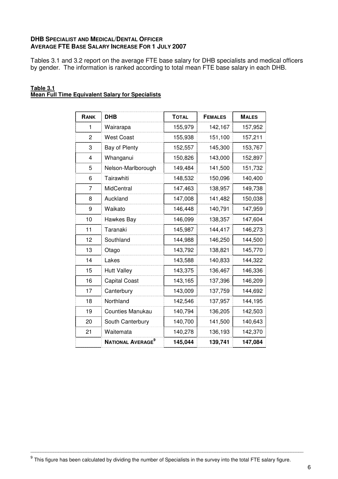# **DHB SPECIALIST AND MEDICAL/DENTAL OFFICER AVERAGE FTE BASE SALARY INCREASE FOR 1 JULY 2007**

Tables 3.1 and 3.2 report on the average FTE base salary for DHB specialists and medical officers by gender. The information is ranked according to total mean FTE base salary in each DHB.

| RANK                    | <b>DHB</b>                    | <b>TOTAL</b> | <b>FEMALES</b> | <b>MALES</b> |
|-------------------------|-------------------------------|--------------|----------------|--------------|
| 1                       | Wairarapa                     | 155,979      | 142,167        | 157,952      |
| $\overline{c}$          | <b>West Coast</b>             | 155,938      | 151,100        | 157,211      |
| 3                       | Bay of Plenty                 | 152,557      | 145,300        | 153,767      |
| $\overline{\mathbf{4}}$ | Whanganui                     | 150,826      | 143,000        | 152,897      |
| 5                       | Nelson-Marlborough            | 149,484      | 141,500        | 151,732      |
| 6                       | Tairawhiti                    | 148,532      | 150,096        | 140,400      |
| 7                       | MidCentral                    | 147,463      | 138,957        | 149,738      |
| 8                       | Auckland                      | 147,008      | 141,482        | 150,038      |
| 9                       | Waikato                       | 146,448      | 140,791        | 147,959      |
| 10                      | Hawkes Bay                    | 146,099      | 138,357        | 147,604      |
| 11                      | Taranaki                      | 145,987      | 144,417        | 146,273      |
| 12                      | Southland                     | 144,988      | 146,250        | 144,500      |
| 13                      | Otago                         | 143,792      | 138,821        | 145,770      |
| 14                      | Lakes                         | 143,588      | 140,833        | 144,322      |
| 15                      | <b>Hutt Valley</b>            | 143,375      | 136,467        | 146,336      |
| 16                      | <b>Capital Coast</b>          | 143,165      | 137,396        | 146,209      |
| 17                      | Canterbury                    | 143,009      | 137,759        | 144,692      |
| 18                      | Northland                     | 142,546      | 137,957        | 144,195      |
| 19                      | <b>Counties Manukau</b>       | 140,794      | 136,205        | 142,503      |
| 20                      | South Canterbury              | 140,700      | 141,500        | 140,643      |
| 21                      | Waitemata                     | 140,278      | 136,193        | 142,370      |
|                         | NATIONAL AVERAGE <sup>9</sup> | 145,044      | 139,741        | 147,084      |

#### **Table 3.1 Mean Full Time Equivalent Salary for Specialists**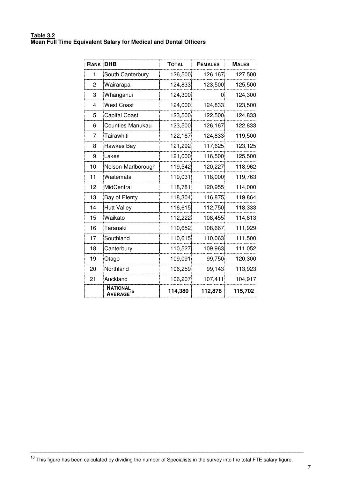#### **Table 3.2 Mean Full Time Equivalent Salary for Medical and Dental Officers**

| <b>RANK DHB</b> |                                          | <b>TOTAL</b> | <b>FEMALES</b> | <b>MALES</b> |
|-----------------|------------------------------------------|--------------|----------------|--------------|
| 1               | South Canterbury                         | 126,500      | 126,167        | 127,500      |
| 2               | Wairarapa                                | 124,833      | 123,500        | 125,500      |
| 3               | Whanganui                                | 124,300      | 0              | 124,300      |
| 4               | West Coast                               | 124,000      | 124,833        | 123,500      |
| 5               | <b>Capital Coast</b>                     | 123,500      | 122,500        | 124,833      |
| 6               | <b>Counties Manukau</b>                  | 123,500      | 126,167        | 122,833      |
| 7               | Tairawhiti                               | 122,167      | 124,833        | 119,500      |
| 8               | Hawkes Bay                               | 121,292      | 117,625        | 123,125      |
| 9               | Lakes                                    | 121,000      | 116,500        | 125,500      |
| 10              | Nelson-Marlborough                       | 119,542      | 120,227        | 118,962      |
| 11              | Waitemata                                | 119,031      | 118,000        | 119,763      |
| 12              | MidCentral                               | 118,781      | 120,955        | 114,000      |
| 13              | Bay of Plenty                            | 118,304      | 116,875        | 119,864      |
| 14              | <b>Hutt Valley</b>                       | 116,615      | 112,750        | 118,333      |
| 15              | Waikato                                  | 112,222      | 108,455        | 114,813      |
| 16              | Taranaki                                 | 110,652      | 108,667        | 111,929      |
| 17              | Southland                                | 110,615      | 110,063        | 111,500      |
| 18              | Canterbury                               | 110,527      | 109,963        | 111,052      |
| 19              | Otago                                    | 109,091      | 99,750         | 120,300      |
| 20              | Northland                                | 106,259      | 99,143         | 113,923      |
| 21              | Auckland                                 | 106,207      | 107,411        | 104,917      |
|                 | <b>NATIONAL</b><br>AVERAGE <sup>10</sup> | 114,380      | 112,878        | 115,702      |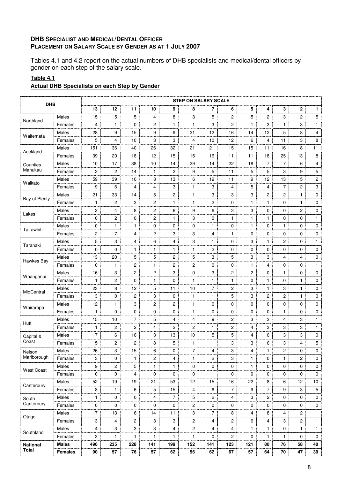# **DHB SPECIALIST AND MEDICAL/DENTAL OFFICER PLACEMENT ON SALARY SCALE BY GENDER AS AT 1 JULY 2007**

Tables 4.1 and 4.2 report on the actual numbers of DHB specialists and medical/dental officers by gender on each step of the salary scale.

# **Table 4.1**

# **Actual DHB Specialists on each Step by Gender**

| <b>DHB</b>        |                |                |                |                |              |                | <b>STEP ON SALARY SCALE</b> |                |                |              |                |                |                |              |
|-------------------|----------------|----------------|----------------|----------------|--------------|----------------|-----------------------------|----------------|----------------|--------------|----------------|----------------|----------------|--------------|
|                   |                | 13             | 12             | 11             | 10           | 9              | 8                           | 7              | 6              | 5            | 4              | 3              | $\overline{2}$ | 1.           |
|                   | <b>Males</b>   | 15             | 5              | 5              | 4            | 8              | 3                           | 5              | $\overline{c}$ | 5            | 2              | 3              | $\overline{c}$ | 5            |
| Northland         | Females        | 4              | 1              | 0              | 2            | $\mathbf{1}$   | $\mathbf{1}$                | 3              | $\overline{2}$ | 1            | 3              | 1              | 3              | 1            |
|                   | Males          | 28             | 9              | 15             | 9            | 9              | 21                          | 12             | 16             | 14           | 12             | 5              | 8              | 4            |
| Waitemata         | Females        | 5              | 4              | 10             | 3            | 3              | 4                           | 10             | 12             | 6            | 4              | 11             | 3              | 8            |
|                   | Males          | 151            | 36             | 40             | 26           | 32             | 21                          | 21             | 15             | 15           | 11             | 16             | 8              | 11           |
| Auckland          | Females        | 39             | 20             | 18             | 12           | 15             | 15                          | 16             | 11             | 11           | 18             | 25             | 13             | 8            |
| Counties          | Males          | 10             | 17             | 38             | 10           | 14             | 29                          | 14             | 22             | 18           | 7              | 7              | 6              | 4            |
| Manukau           | Females        | $\overline{c}$ | $\overline{c}$ | 14             | $\mathbf{1}$ | 2              | 9                           | 5              | 11             | 5            | 5              | 3              | 9              | 5            |
|                   | Males          | 59             | 39             | 10             | 8            | 13             | 6                           | 19             | 11             | 9            | 12             | 13             | 5              | 2            |
| Waikato           | Females        | 9              | 6              | 4              | 4            | 3              | 1                           | 3              | 4              | 5            | 4              | 7              | 2              | 3            |
|                   | Males          | 21             | 33             | 14             | 5            | 2              | $\mathbf{1}$                | 3              | 3              | 3            | $\overline{c}$ | $\overline{c}$ | 1              | 0            |
| Bay of Plenty     | Females        | 1              | 2              | 3              | 2            | 1              | $\mathbf{1}$                | 2              | 0              | 1            | 1              | 0              | $\mathbf{1}$   | 0            |
|                   | Males          | $\overline{c}$ | $\overline{4}$ | 8              | 2            | 6              | 9                           | 6              | 3              | 3            | 0              | 0              | 2              | 0            |
| Lakes             | Females        | 0              | 2              | 0              | 2            | 1              | 3                           | 0              | 1              | 1            | 1              | 0              | 0              | $\mathbf{1}$ |
|                   | Males          | 0              | $\mathbf{1}$   | 1              | 0            | 0              | $\mathbf{0}$                | 1              | 0              | 1            | 0              | 1              | 0              | 0            |
| Tairawhiti        | Females        | $\overline{c}$ | $\overline{7}$ | 4              | 2            | 3              | 3                           | 4              | $\mathbf{1}$   | $\mathbf 0$  | 0              | $\mathbf 0$    | 0              | 0            |
|                   | Males          | 5              | 3              | 4              | 6            | $\overline{4}$ | 3                           | 1              | 0              | 3            | 1              | 2              | 0              | 1            |
| Taranaki          | Females        | 0              | $\Omega$       | 1              | 1            | 1              | $\mathbf{1}$                | 2              | 0              | 0            | 0              | 0              | $\Omega$       | 0            |
|                   | Males          | 13             | 20             | 5              | 5            | 2              | 5                           | 3              | 5              | 3            | 3              | 4              | 4              | 0            |
| Hawkes Bay        | Females        | 0              | 1              | 2              | 1            | 2              | 2                           | 0              | $\mathbf 0$    | 1            | 4              | 0              | 0              | 1            |
|                   |                |                |                |                |              |                |                             |                |                |              |                |                |                |              |
| Whanganui         | Males          | 16             | 3              | 2              | 2            | 3              | 0                           | 3              | $\overline{c}$ | 2            | 0              | 1              | 0              | 0            |
|                   | Females        | 1              | $\overline{2}$ | $\mathbf 0$    | 1            | 0              | $\mathbf{1}$                | $\mathbf{1}$   | $\mathbf{1}$   | 0            | $\mathbf{1}$   | 0              | 1              | 0            |
| MidCentral        | Males          | 23             | 8              | 12             | 5            | 11             | 10                          | 7              | $\overline{c}$ | 3            | 1              | 3              | $\mathbf{1}$   | 0            |
|                   | Females        | 3              | $\mathbf 0$    | 2              | 3            | 0              | 1                           | 1              | 5              | 3            | 2              | 2              | $\mathbf{1}$   | 0            |
| Wairarapa         | Males          | 12             | 1              | 3              | 2            | 2              | $\mathbf{1}$                | 0              | 0              | 0            | 0              | 0              | 0              | 0            |
|                   | Females        | $\mathbf{1}$   | $\mathbf 0$    | $\mathbf 0$    | 0            | 0              | $\mathbf{1}$                | 0              | 0              | 0            | 0              | 1              | 0              | 0            |
| Hutt              | Males          | 15             | 10             | 7              | 5            | 4              | 4                           | 9              | $\mathbf{2}$   | 3            | 3              | 4              | 3              | 1            |
|                   | Females        | 1              | $\overline{c}$ | 2              | 4            | 2              | 2                           | $\mathbf{1}$   | $\mathbf{2}$   | 4            | 3              | 3              | 3              | $\mathbf{1}$ |
| Capital &         | Males          | 17             | 6              | 16             | 3            | 13             | 10                          | 5              | 5              | 4            | 6              | 3              | 3              | 0            |
| Coast             | Females        | 5              | 2              | 2              | 8            | 5              | $\mathbf{1}$                | 1              | 3              | 3            | 6              | 3              | 4              | 5            |
| Nelson            | Males          | 26             | 3              | 15             | 6            | 0              | 7                           | 4              | 3              | 4            | ı              | $\mathbf{z}$   | U              | 0            |
| Marlborough       | Females        | 3              | 0              | 1              | 2            | 4              | 1                           | $\overline{c}$ | 3              | 1            | 0              | 1              | $\overline{c}$ | $\mathbf 0$  |
| <b>West Coast</b> | Males          | 9              | $\mathbf{2}$   | 5              | $\mathbf{1}$ | $\mathbf{1}$   | 0                           | 0              | $\mathbf 0$    | $\mathbf{1}$ | 0              | 0              | 0              | 0            |
|                   | Females        | 0              | 0              | 4              | 0            | 0              | 0                           | 1              | 0              | 0            | 0              | 0              | 0              | 0            |
| Canterbury        | Males          | 52             | 19             | 19             | 21           | 53             | 12                          | 15             | 16             | 22           | 8              | 6              | 12             | 10           |
|                   | Females        | 8              | 1              | 6              | 5            | 15             | 4                           | 6              | $\overline{7}$ | 9            | $\overline{7}$ | 9              | 3              | 5            |
| South             | Males          | $\mathbf{1}$   | 0              | 0              | 4            | $\overline{7}$ | 5                           | 2              | 4              | 3            | $\overline{c}$ | 0              | 0              | 0            |
| Canterbury        | Females        | 0              | 0              | 0              | 0            | 0              | 2                           | 0              | $\mathbf 0$    | 0            | 0              | 0              | 0              | 0            |
|                   | Males          | 17             | 13             | 6              | 14           | 11             | 3                           | $\overline{7}$ | 8              | 4            | 8              | 4              | $\overline{c}$ | 1            |
| Otago             | Females        | 3              | 4              | $\overline{2}$ | 3            | 3              | 2                           | 4              | $\overline{2}$ | 6            | 4              | 3              | $\overline{2}$ | 1            |
|                   | Males          | 4              | 3              | 3              | 3            | 4              | 2                           | 4              | $\overline{4}$ | 1            | 1              | 0              | $\mathbf{1}$   | $\mathbf{1}$ |
| Southland         | Females        | 3              | 1              | 1              | 1            | 1              | 1                           | 0              | $\overline{2}$ | 0            | $\mathbf{1}$   | 1              | 0              | 0            |
| <b>National</b>   | Males          | 496            | 235            | 228            | 141          | 199            | 152                         | 141            | 123            | 121          | 80             | 76             | 58             | 40           |
| <b>Total</b>      | <b>Females</b> | 90             | 57             | 76             | 57           | 62             | 56                          | 62             | 67             | 57           | 64             | 70             | 47             | 39           |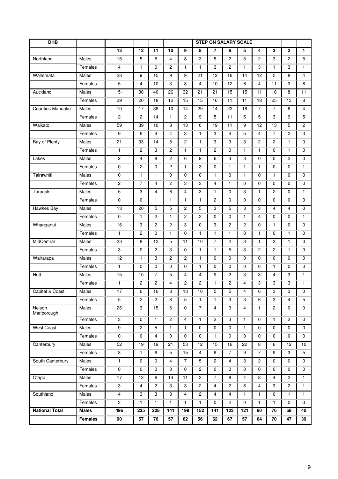| DHB                   |                |                         |                 |                |                |                | <b>STEP ON SALARY SCALE</b> |                |                |              |                |                |                |                |
|-----------------------|----------------|-------------------------|-----------------|----------------|----------------|----------------|-----------------------------|----------------|----------------|--------------|----------------|----------------|----------------|----------------|
|                       |                | 13                      | 12              | 11             | 10             | 9              | 8                           | 7              | 6              | 5            | 4              | 3              | $\mathbf{2}$   | $\mathbf{1}$   |
| Northland             | Males          | 15                      | 5               | 5              | 4              | 8              | 3                           | 5              | 2              | 5            | 2              | 3              | 2              | 5              |
|                       | Females        | 4                       | $\mathbf{1}$    | $\mathbf 0$    | 2              | 1              | $\mathbf{1}$                | 3              | 2              | $\mathbf{1}$ | 3              | $\mathbf{1}$   | 3              | $\mathbf{1}$   |
| Waitemata             | Males          | 28                      | 9               | 15             | 9              | 9              | 21                          | 12             | 16             | 14           | 12             | 5              | 8              | 4              |
|                       | Females        | 5                       | 4               | 10             | 3              | 3              | 4                           | 10             | 12             | 6            | 4              | 11             | 3              | 8              |
| Auckland              | Males          | 151                     | 36              | 40             | 26             | 32             | 21                          | 21             | 15             | 15           | 11             | 16             | 8              | 11             |
|                       | Females        | 39                      | 20              | 18             | 12             | 15             | 15                          | 16             | 11             | 11           | 18             | 25             | 13             | 8              |
| Counties Manuaku      | Males          | 10                      | 17              | 38             | 10             | 14             | 29                          | 14             | 22             | 18           | $\overline{7}$ | $\overline{7}$ | 6              | 4              |
|                       | Females        | 2                       | 2               | 14             | $\mathbf{1}$   | 2              | 9                           | 5              | 11             | 5            | 5              | 3              | 9              | 5              |
| Waikato               | Males          | 59                      | 39              | 10             | 8              | 13             | 6                           | 19             | 11             | 9            | 12             | 13             | 5              | $\overline{2}$ |
|                       | Females        | 9                       | 6               | 4              | 4              | 3              | 1                           | 3              | 4              | 5            | 4              | 7              | 2              | 3              |
| Bay of Plenty         | Males          | 21                      | 33              | 14             | 5              | $\overline{c}$ | $\mathbf{1}$                | 3              | 3              | 3            | $\overline{2}$ | $\overline{2}$ | $\mathbf{1}$   | $\Omega$       |
|                       | Females        | $\mathbf{1}$            | 2               | 3              | 2              | 1              | $\mathbf{1}$                | 2              | 0              | 1            | $\mathbf{1}$   | 0              | $\mathbf{1}$   | $\mathbf 0$    |
| Lakes                 | Males          | 2                       | 4               | 8              | 2              | 6              | 9                           | 6              | 3              | 3            | 0              | 0              | $\overline{2}$ | 0              |
|                       | Females        | 0                       | 2               | 0              | 2              | $\mathbf{1}$   | 3                           | 0              | 1              | $\mathbf{1}$ | 1              | 0              | 0              | $\mathbf{1}$   |
| Tairawhiti            | Males          | 0                       | 1               | $\mathbf{1}$   | 0              | 0              | 0                           | $\mathbf{1}$   | 0              | 1            | 0              | $\mathbf{1}$   | 0              | $\mathbf 0$    |
|                       | Females        | 2                       | $\overline{7}$  | 4              | 2              | 3              | 3                           | 4              | 1              | 0            | 0              | 0              | 0              | 0              |
| Taranaki              | Males          | 5                       | 3               | 4              | 6              | 4              | 3                           | $\mathbf{1}$   | 0              | 3            | $\mathbf{1}$   | 2              | 0              | 1              |
|                       | Females        | 0                       | 0               | 1              | 1              | 1              | 1                           | 2              | 0              | 0            | 0              | 0              | 0              | $\mathbf 0$    |
| Hawkes Bay            | Males          | 13                      | 20              | 5              | 5              | $\overline{c}$ | 5                           | 3              | 5              | 3            | 3              | 4              | 4              | $\mathbf 0$    |
|                       | Females        | $\mathbf 0$             | $\mathbf{1}$    | 2              | 1              | 2              | 2                           | 0              | 0              | 1            | 4              | 0              | 0              | $\mathbf{1}$   |
| Whanganui             | Males          | 16                      | 3               | 2              | 2              | 3              | 0                           | 3              | $\overline{c}$ | 2            | 0              | $\mathbf{1}$   | 0              | $\mathbf 0$    |
|                       | Females        | 1                       | 2               | 0              | 1              | 0              | 1                           | $\mathbf{1}$   | 1              | 0            | 1              | 0              | 1              | 0              |
| MidCentral            | Males          | 23                      | 8               | 12             | 5              | 11             | 10                          | 7              | 2              | 3            | $\mathbf{1}$   | 3              | $\mathbf{1}$   | 0              |
|                       | Females        | 3                       | 0               | 2              | 3              | 0              | 1                           | $\mathbf{1}$   | 5              | 3            | 2              | 2              | 1              | 0              |
| Wairarapa             | Males          | 12                      | $\mathbf{1}$    | 3              | $\overline{c}$ | $\overline{c}$ | $\mathbf{1}$                | 0              | 0              | 0            | $\Omega$       | 0              | 0              | $\Omega$       |
|                       | Females        | $\mathbf{1}$            | 0               | 0              | 0              | 0              | 1                           | 0              | 0              | 0            | 0              | $\mathbf{1}$   | 0              | $\Omega$       |
| Hutt                  | Males          | 15                      | 10              | 7              | 5              | 4              | 4                           | 9              | 2              | 3            | 3              | 4              | 3              | 1              |
|                       | Females        | 1                       | 2               | 2              | 4              | 2              | 2                           | $\mathbf{1}$   | 2              | 4            | 3              | 3              | 3              | $\mathbf{1}$   |
| I<br>Capital & Coast  | Males          | 17                      | 6               | 16             | 3              | 13             | 10                          | 5              | 5              | 4            | 6              | 3              | 3              | 0              |
|                       | Females        | 5                       | $\overline{c}$  | $\overline{c}$ | 8              | 5              | $\mathbf{1}$                | $\mathbf{1}$   | 3              | 3            | 6              | 3              | 4              | 5              |
| Nelson<br>Marlborough | Males          | $\overline{26}$         | 3               | 15             | 6              | $\mathbf 0$    | $\overline{7}$              | $\overline{4}$ | 3              | 4            | $\mathbf{1}$   | $\overline{2}$ | 0              | $\mathbf 0$    |
|                       | Females        | 3                       | 0               | $\mathbf{1}$   | $\overline{c}$ | 4              | $\mathbf{1}$                | $\mathbf{2}$   | 3              | 1            | 0              | $\mathbf{1}$   | $\mathbf{2}$   | $\mathbf 0$    |
| <b>West Coast</b>     | Males          | $\overline{9}$          | $\overline{c}$  | 5              | $\mathbf{1}$   | $\mathbf{1}$   | $\mathbf 0$                 | $\mathbf 0$    | 0              | 1            | 0              | 0              | 0              | $\mathbf{0}$   |
|                       | Females        | $\pmb{0}$               | 0               | $\overline{4}$ | 0              | $\mathbf 0$    | $\pmb{0}$                   | $\mathbf{1}$   | 0              | 0            | 0              | 0              | 0              | 0              |
| Canterbury            | Males          | 52                      | 19              | 19             | 21             | 53             | 12                          | 15             | 16             | 22           | 8              | 6              | 12             | 10             |
|                       | Females        | 8                       | $\mathbf{1}$    | 6              | 5              | 15             | 4                           | 6              | $\overline{7}$ | 9            | $\overline{7}$ | 9              | 3              | $\overline{5}$ |
| South Canterbury      | Males          | $\mathbf{1}$            | $\mathbf 0$     | $\mathbf 0$    | 4              | $\overline{7}$ | 5                           | $\overline{c}$ | $\overline{4}$ | 3            | $\overline{2}$ | 0              | 0              | $\mathbf{0}$   |
|                       | Females        | $\pmb{0}$               | 0               | 0              | 0              | 0              | $\overline{c}$              | 0              | 0              | 0            | 0              | 0              | 0              | 0              |
| Otago                 | Males          | 17                      | $\overline{13}$ | 6              | 14             | 11             | 3                           | $\overline{7}$ | 8              | 4            | $\overline{8}$ | $\overline{4}$ | $\overline{2}$ | $\mathbf{1}$   |
|                       | Females        | $\overline{3}$          | 4               | $\mathbf{2}$   | 3              | 3              | $\overline{2}$              | 4              | $\overline{2}$ | 6            | $\overline{4}$ | 3              | $\mathbf{2}$   | $\mathbf{1}$   |
| Southland             | Males          | $\overline{\mathbf{4}}$ | 3               | 3              | 3              | 4              | $\overline{c}$              | $\overline{4}$ | $\overline{4}$ | 1            | $\mathbf{1}$   | 0              | $\mathbf{1}$   | $\mathbf{1}$   |
|                       | Females        | 3                       | $\mathbf{1}$    | $\mathbf{1}$   | $\mathbf{1}$   | 1              | $\mathbf{1}$                | 0              | $\overline{2}$ | 0            | $\mathbf{1}$   | $\mathbf{1}$   | 0              | 0              |
| <b>National Total</b> | <b>Males</b>   | 496                     | 235             | 228            | 141            | 199            | 152                         | 141            | 123            | 121          | 80             | 76             | 58             | 40             |
|                       | <b>Females</b> | 90                      | 57              | 76             | 57             | 62             | 56                          | 62             | 67             | 57           | 64             | 70             | 47             | 39             |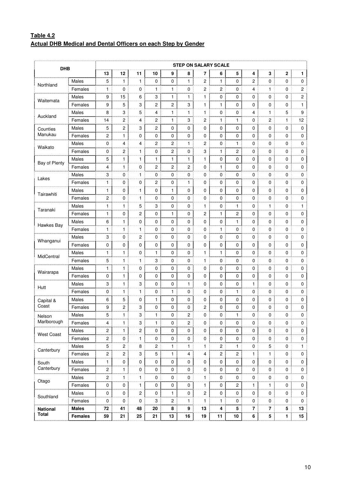# **Table 4.2 Actual DHB Medical and Dental Officers on each Step by Gender**

| <b>DHB</b>            |                |                |                |                |    |                | <b>STEP ON SALARY SCALE</b> |    |                |              |              |              |              |    |
|-----------------------|----------------|----------------|----------------|----------------|----|----------------|-----------------------------|----|----------------|--------------|--------------|--------------|--------------|----|
|                       |                | 13             | 12             | 11             | 10 | 9              | 8                           | 7  | 6              | 5            | 4            | 3            | $\mathbf{2}$ | 1  |
| Northland             | Males          | 5              | 1              | 1              | 0  | 0              | 1                           | 2  | 1              | 0            | 2            | 0            | 0            | 0  |
|                       | Females        | 1              | 0              | 0<br>min       | 1  | 1              | 0                           | 2  | 2              | 0            | 4            | 1            | 0            | 2  |
|                       | Males          | 9              | 15             | 6              | 3  | 1              | 1                           | 1  | 0              | 0            | 0            | 0            | 0            | 2  |
| Waitemata             | Females        | 9              | 5              | 3              | 2  | 2              | 3                           | 1  | $\mathbf{1}$   | 0            | 0            | 0            | 0            | 1  |
|                       | Males          | 8              | 3              | 5              | 4  | 1              | 1                           | 1  | 0              | 0            | 4            | 1            | 5            | 9  |
| Auckland              | Females        | 14             | 2              | 4              | 2  | 1              | 3                           | 2  | 1              | 1            | 0            | 2            | 1            | 12 |
| Counties              | Males          | 5              | 2              | 3              | 2  | 0              | 0                           | 0  | 0              | 0            | 0            | 0            | 0            | 0  |
| Manukau               | Females        | $\overline{c}$ | 1              | 0              | 0  | 0              | 0                           | 0  | 0              | 0            | 0            | 0            | 0            | 0  |
|                       | Males          | 0              | 4              | 4              | 2  | 2              | 1                           | 2  | 0              | 1            | 0            | 0            | 0            | 0  |
| Waikato               | Females        | 0              | 2              | 1              | 0  | 2              | 0                           | 3  | $\mathbf{1}$   | 2            | 0            | 0            | 0            | 0  |
|                       | Males          | 5              | 1.             | 1              | 1  | 1              | 1                           | 1  | 0              | 0            | 0            | 0            | 0            | 0  |
| Bay of Plenty         | Females        | 4              | 1              | 0              | 2  | 2              | 2                           | 0  | $\mathbf{1}$   | 0            | 0            | 0            | 0            | 0  |
|                       | Males          | 3              | 0              | 1              | 0  | 0              | 0                           | 0  | 0              | 0            | 0            | 0            | 0            | 0  |
| Lakes                 | Females        | 1              | 0              | 0              | 2  | 0              | 1                           | 0  | 0              | 0            | 0            | 0            | 0            | 0  |
|                       | Males          | 1              | 0              | $\mathbf{1}$   | 0  | $\mathbf{1}$   | 0                           | 0  | 0              | 0            | 0            | 0            | 0            | 0  |
| Tairawhiti            | Females        | 2              | 0              | 1              | 0  | 0              | 0                           | 0  | 0              | 0            | 0            | 0            | 0            | 0  |
|                       | Males          | 1              | 1              | min<br>5       | 3  | 0              | 0                           | 1  | 0              | 1            | 0            | 1            | 0            | 1  |
| Taranaki              | Females        | 1              | 0              | 2              | 0  | 1              | 0                           | 2  | $\mathbf{1}$   | 2            | 0            | 0            | 0            | 0  |
|                       | Males          | 6              | 1              | 0              | 0  | 0              | 0                           | 0  | 0              | 1            | 0            | 0            | 0            | 0  |
| Hawkes Bay            | Females        | 1              | 1              | 1              | 0  | 0              | 0                           | 0  | 1              | 0            | 0            | 0            | 0            | 0  |
| Whanganui             | Males          | 3              | 0              | 2              | 0  | 0              | 0                           | 0  | 0              | 0            | 0            | 0            | 0            | 0  |
|                       | Females        | 0              | 0              | 0              | 0  | 0              | 0                           | 0  | 0              | 0            | 0            | 0            | 0            | 0  |
|                       | Males          | 1              | 1              | 0              | 1  | 0              | 0                           | 1  | 1              | 0            | 0            | 0            | 0            | 0  |
| MidCentral            | Females        | 5              | 1.             | 1              | 3  | 0              | 0                           | 1  | 0              | 0            | 0            | 0            | 0            | 0  |
|                       | Males          | 1              | 1              | 0              | 0  | 0              | 0                           | 0  | 0              | 0            | 0            | 0            | 0            | 0  |
| Wairarapa             | Females        | 0              | 1              | 0              | 0  | 0              | 0                           | 0  | 0              | 0            | 0            | 0            | 0            | 0  |
|                       | Males          | 3              | 1              | 3              | 0  | 0              | 1                           | 0  | 0              | 0            | 1            | 0            | 0            | 0  |
| Hutt                  | Females        | 0              | 1              | 1              | 0  | 1              | 0                           | 0  | 0              | 1            | 0            | 0            | 0            | 0  |
|                       | Males          | 6              | 5              | 0              | 1  | 0              | 0                           | 0  | 0              | 0            | 0            | 0            | 0            | 0  |
| Capital &<br>Coast    |                |                |                |                |    |                |                             |    |                |              |              |              |              |    |
|                       | Females        | 9              | 2              | 3              | 0  | 0              | 0                           | 2  | 0              | 0            | 0            | 0            | 0            | 0  |
| Nelson<br>Marlborough | Males          | 5              | 1              | З              | 1  | 0              | 2                           | 0  | 0              | 1            | 0            | 0            | 0            | 0  |
|                       | Females        | 4              | 1              | 3              | 1  | 0              | 2                           | 0  | 0              | 0            | 0            | 0            | 0            | 0  |
| <b>West Coast</b>     | Males          | 2              | 1              | 2              | 0  | 0              | 0                           | 0  | 0              | 0            | 0            | 0            | 0            | 0  |
|                       | Females        | 2              | 0              | 1              | 0  | 0              | 0                           | 0  | 0              | 0            | 0            | 0            | 0            | 0  |
| Canterbury            | Males          | 5              | $\overline{c}$ | 8              | 2  | 1              | 1                           | 1  | $\overline{c}$ | 1            | 0            | 5            | 0            | 1  |
|                       | Females        | $\overline{c}$ | $\mathbf{2}$   | 3              | 5  | 1              | 4                           | 4  | $\overline{2}$ | $\mathbf{2}$ | $\mathbf{1}$ | $\mathbf{1}$ | 0            | 0  |
| South                 | Males          | 1              | 0              | 0              | 0  | 0              | 0                           | 0  | 0              | 0            | 0            | 0            | 0            | 0  |
| Canterbury            | Females        | 2              | $\mathbf{1}$   | 0              | 0  | 0              | 0                           | 0  | 0              | 0            | 0            | 0            | 0            | 0  |
| Otago                 | Males          | $\overline{c}$ | $\mathbf{1}$   | 1              | 0  | 0              | 0                           | 1  | 0              | 0            | 0            | 0            | 0            | 0  |
|                       | Females        | 0              | 0              | 1<br>ana.      | 0  | 0              | 0                           | 1  | 0              | 2            | 1            | 1            | 0            | 0  |
| Southland             | Males          | 0              | 0              | $\overline{c}$ | 0  | 1              | 0                           | 2  | 0              | 0            | 0            | 0            | 0            | 0  |
|                       | Females        | $\mathbf 0$    | 0              | 0              | 3  | $\overline{c}$ | 1                           | 1  | 1              | 0            | 0            | 0            | 0            | 0  |
| <b>National</b>       | <b>Males</b>   | 72             | 41             | 48             | 20 | 8              | 9                           | 13 | 4              | 5            | 7            | 7            | 5            | 13 |
| <b>Total</b>          | <b>Females</b> | 59             | 21             | 25             | 21 | 13             | 16                          | 19 | 11             | 10           | 6            | 5            | 1            | 15 |